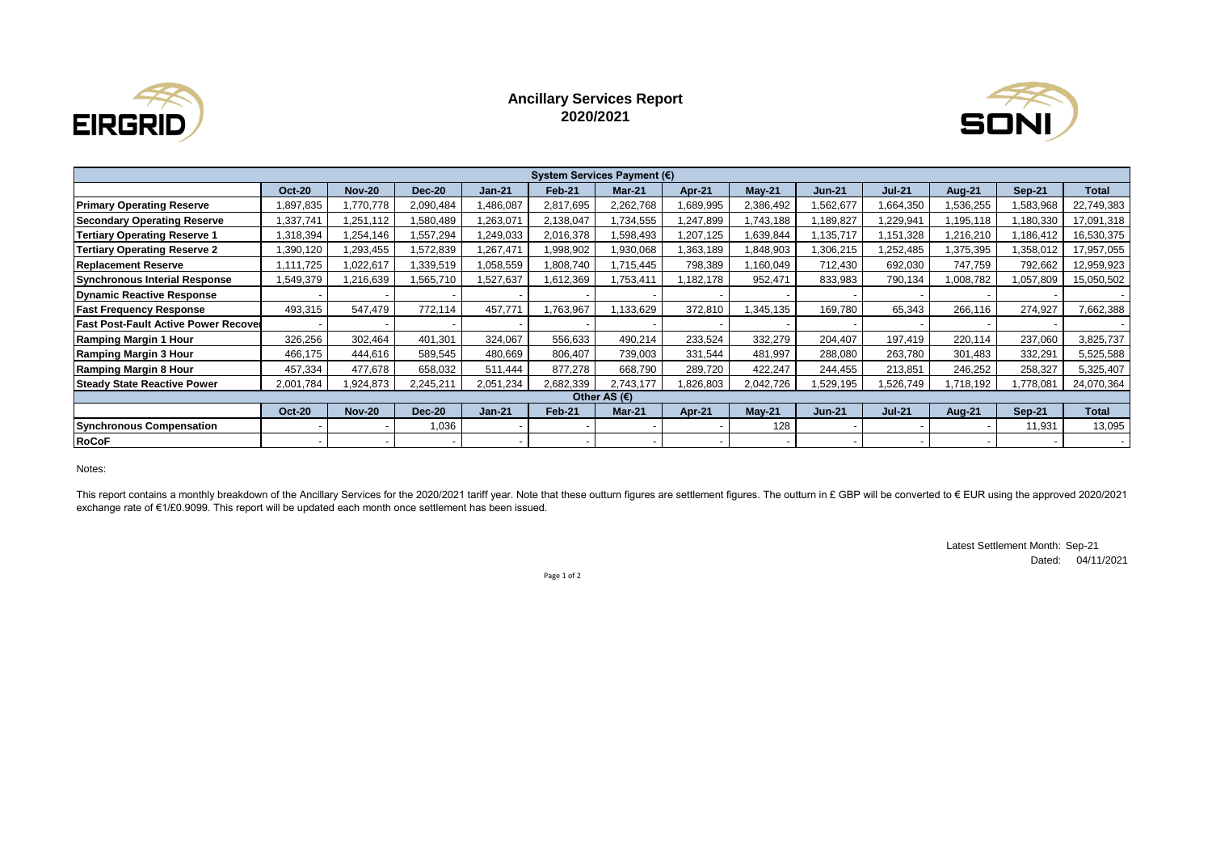

## **Ancillary Services Report 2020/2021**



| System Services Payment (€)                 |               |               |               |           |                          |           |           |           |               |               |               |               |              |
|---------------------------------------------|---------------|---------------|---------------|-----------|--------------------------|-----------|-----------|-----------|---------------|---------------|---------------|---------------|--------------|
|                                             | <b>Oct-20</b> | <b>Nov-20</b> | <b>Dec-20</b> | $Jan-21$  | <b>Feb-21</b>            | $Mar-21$  | Apr-21    | $May-21$  | <b>Jun-21</b> | <b>Jul-21</b> | <b>Aug-21</b> | <b>Sep-21</b> | <b>Total</b> |
| <b>Primary Operating Reserve</b>            | 1,897,835     | ,770,778      | 2,090,484     | ,486,087  | 2,817,695                | 2,262,768 | 1,689,995 | 2,386,492 | ,562,677      | ,664,350      | 1,536,255     | 1,583,968     | 22,749,383   |
| <b>Secondary Operating Reserve</b>          | 1,337,741     | ,251,112      | ,580,489      | ,263,071  | 2,138,047                | ,734,555  | 1,247,899 | ,743,188  | ,189,827      | .229,941      | ,195,118      | 1,180,330     | 17,091,318   |
| <b>Tertiary Operating Reserve 1</b>         | 1,318,394     | .254,146      | ,557,294      | ,249,033  | 2,016,378                | .598,493  | 1,207,125 | .639,844  | ,135,717      | 151,328       | ,216,210      | 186,412. ا    | 16,530,375   |
| <b>Tertiary Operating Reserve 2</b>         | 1,390,120     | ,293,455      | ,572,839      | 1,267,471 | 998,902.                 | ,930,068  | 1,363,189 | ,848,903  | ,306,215      | .252,485      | 375,395.      | 358,012       | 17,957,055   |
| <b>Replacement Reserve</b>                  | 1,111,725     | 1,022,617     | ,339,519      | 1,058,559 | 1,808,740                | ,715,445  | 798,389   | ,160,049  | 712,430       | 692,030       | 747,759       | 792,662       | 12,959,923   |
| <b>Synchronous Interial Response</b>        | 1,549,379     | ,216,639      | 1,565,710     | 1,527,637 | 1,612,369                | ,753,411  | 1,182,178 | 952,471   | 833,983       | 790,134       | 1,008,782     | 1,057,809     | 15,050,502   |
| <b>Dynamic Reactive Response</b>            |               |               |               |           | $\overline{\phantom{a}}$ |           |           |           |               |               |               |               |              |
| <b>Fast Frequency Response</b>              | 493,315       | 547,479       | 772,114       | 457,771   | 1,763,967                | ,133,629  | 372,810   | 1,345,135 | 169,780       | 65,343        | 266,116       | 274,927       | 7,662,388    |
| <b>Fast Post-Fault Active Power Recover</b> |               |               |               |           |                          |           |           |           |               |               |               |               |              |
| <b>Ramping Margin 1 Hour</b>                | 326,256       | 302,464       | 401,301       | 324,067   | 556,633                  | 490,214   | 233,524   | 332,279   | 204,407       | 197,419       | 220,114       | 237,060       | 3,825,737    |
| Ramping Margin 3 Hour                       | 466,175       | 444,616       | 589,545       | 480.669   | 806,407                  | 739,003   | 331,544   | 481,997   | 288,080       | 263,780       | 301,483       | 332,291       | 5,525,588    |
| Ramping Margin 8 Hour                       | 457,334       | 477,678       | 658,032       | 511,444   | 877,278                  | 668,790   | 289,720   | 422,247   | 244,455       | 213,851       | 246,252       | 258,327       | 5,325,407    |
| <b>Steady State Reactive Power</b>          | 2,001,784     | ,924,873      | 2,245,211     | 2,051,234 | 2,682,339                | 2.743.177 | 1,826,803 | 2,042,726 | .529,195      | 526,749       | ,718,192      | 1,778,081     | 24,070,364   |
| Other AS (€)                                |               |               |               |           |                          |           |           |           |               |               |               |               |              |
|                                             | <b>Oct-20</b> | <b>Nov-20</b> | <b>Dec-20</b> | $Jan-21$  | Feb-21                   | $Mar-21$  | Apr-21    | $May-21$  | $Jun-21$      | <b>Jul-21</b> | <b>Aug-21</b> | <b>Sep-21</b> | <b>Total</b> |
| <b>Synchronous Compensation</b>             |               |               | 0.036         |           | $\overline{\phantom{a}}$ |           |           | 128       |               |               |               | 11,931        | 13,095       |
| <b>RoCoF</b>                                |               |               |               |           | $\overline{\phantom{a}}$ |           |           |           |               |               |               |               |              |

Notes:

This report contains a monthly breakdown of the Ancillary Services for the 2020/2021 tariff year. Note that these outturn figures are settlement figures. The outturn in £ GBP will be converted to € EUR using the approved exchange rate of €1/£0.9099. This report will be updated each month once settlement has been issued.

> Latest Settlement Month: Sep-21 Dated: 04/11/2021

Page 1 of 2